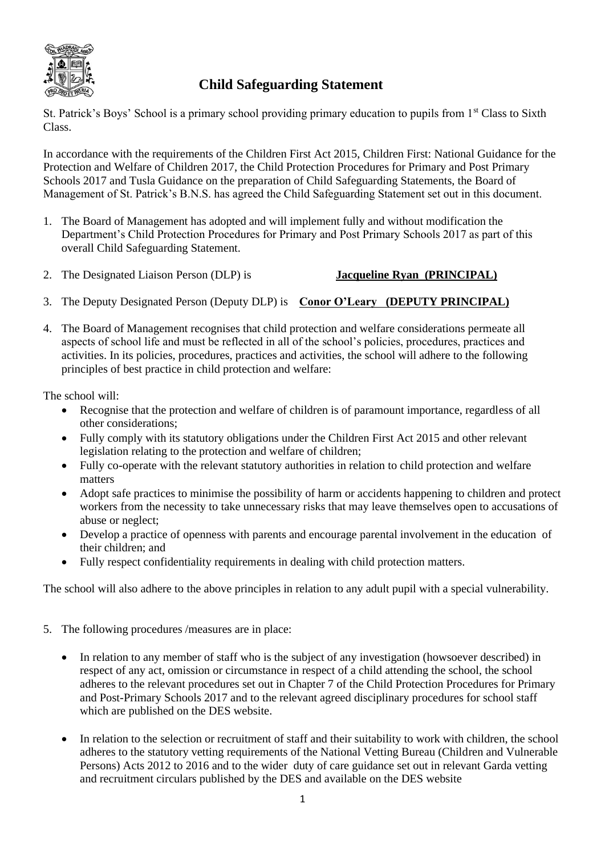

## **Child Safeguarding Statement**

St. Patrick's Boys' School is a primary school providing primary education to pupils from 1<sup>st</sup> Class to Sixth Class.

In accordance with the requirements of the Children First Act 2015, Children First: National Guidance for the Protection and Welfare of Children 2017, the Child Protection Procedures for Primary and Post Primary Schools 2017 and Tusla Guidance on the preparation of Child Safeguarding Statements, the Board of Management of St. Patrick's B.N.S. has agreed the Child Safeguarding Statement set out in this document.

- 1. The Board of Management has adopted and will implement fully and without modification the Department's Child Protection Procedures for Primary and Post Primary Schools 2017 as part of this overall Child Safeguarding Statement.
- 2. The Designated Liaison Person (DLP) is **Jacqueline Ryan (PRINCIPAL)**
- 3. The Deputy Designated Person (Deputy DLP) is **Conor O'Leary (DEPUTY PRINCIPAL)**
- 4. The Board of Management recognises that child protection and welfare considerations permeate all aspects of school life and must be reflected in all of the school's policies, procedures, practices and activities. In its policies, procedures, practices and activities, the school will adhere to the following principles of best practice in child protection and welfare:

The school will:

- Recognise that the protection and welfare of children is of paramount importance, regardless of all other considerations;
- Fully comply with its statutory obligations under the Children First Act 2015 and other relevant legislation relating to the protection and welfare of children;
- Fully co-operate with the relevant statutory authorities in relation to child protection and welfare matters
- Adopt safe practices to minimise the possibility of harm or accidents happening to children and protect workers from the necessity to take unnecessary risks that may leave themselves open to accusations of abuse or neglect;
- Develop a practice of openness with parents and encourage parental involvement in the education of their children; and
- Fully respect confidentiality requirements in dealing with child protection matters.

The school will also adhere to the above principles in relation to any adult pupil with a special vulnerability.

- 5. The following procedures /measures are in place:
	- In relation to any member of staff who is the subject of any investigation (howsoever described) in respect of any act, omission or circumstance in respect of a child attending the school, the school adheres to the relevant procedures set out in Chapter 7 of the Child Protection Procedures for Primary and Post-Primary Schools 2017 and to the relevant agreed disciplinary procedures for school staff which are published on the DES website.
	- In relation to the selection or recruitment of staff and their suitability to work with children, the school adheres to the statutory vetting requirements of the National Vetting Bureau (Children and Vulnerable Persons) Acts 2012 to 2016 and to the wider duty of care guidance set out in relevant Garda vetting and recruitment circulars published by the DES and available on the DES website